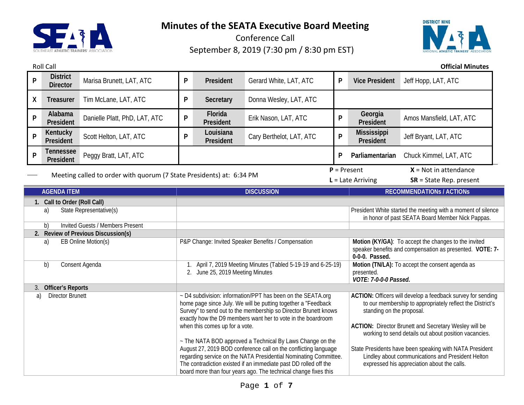

Roll Call **Official Minutes**

Conference Call September 8, 2019 (7:30 pm / 8:30 pm EST)



**<sup>P</sup> District Director** Marisa Brunett, LAT, ATC **<sup>P</sup> President** Gerard White, LAT, ATC **<sup>P</sup> Vice President** Jeff Hopp, LAT, ATC **X Treasurer** Tim McLane, LAT, ATC **P Secretary** Donna Wesley, LAT, ATC **<sup>P</sup> Alabama P President** Platt, PhD, LAT, ATC **P P President President** Erik Nason, LAT, ATC **<sup>P</sup> Georgia**  Amos Mansfield, LAT, ATC **<sup>P</sup> Kentucky President** Scott Helton, LAT, ATC **<sup>P</sup> Louisiana President** Cary Berthelot, LAT, ATC **<sup>P</sup> Mississippi**  Jeff Bryant, LAT, ATC **<sup>P</sup> Tennessee President** Peggy Bratt, LAT, ATC **<sup>P</sup> Parliamentarian** Chuck Kimmel, LAT, ATC Meeting called to order with quorum (7 State Presidents) at: 6:34 PM  $P =$  Present  $X =$  Not in attendance **L** = Late Arriving **SR** = State Rep. present **AGENDA ITEM DISCUSSION RECOMMENDATIONs / ACTIONs 1. Call to Order (Roll Call)** a) State Representative(s) President White started the meeting with a moment of silence in honor of past SEATA Board Member Nick Pappas. b) Invited Guests / Members Present **2. Review of Previous Discussion(s)** a) EB Online Motion(s) **P&P Change:** Invited Speaker Benefits / Compensation **Motion (KY/GA)**: To accept the changes to the invited speaker benefits and compensation as presented. **VOTE: 7- 0-0-0. Passed.** b) Consent Agenda 1. April 7, 2019 Meeting Minutes (Tabled 5-19-19 and 6-25-19) 2. June 25, 2019 Meeting Minutes **Motion (TN/LA):** To accept the consent agenda as presented. *VOTE: 7-0-0-0 Passed.* 3. **Officer's Reports** a) Director Brunett  $\sim$  D4 subdivision: information/PPT has been on the SEATA.org home page since July. We will be putting together a "Feedback Survey" to send out to the membership so Director Brunett knows exactly how the D9 members want her to vote in the boardroom when this comes up for a vote. ~ The NATA BOD approved a Technical By Laws Change on the August 27, 2019 BOD conference call on the conflicting language regarding service on the NATA Presidential Nominating Committee. The contradiction existed if an immediate past DD rolled off the board more than four years ago. The technical change fixes this **ACTION:** Officers will develop a feedback survey for sending to our membership to appropriately reflect the District's standing on the proposal. **ACTION:** Director Brunett and Secretary Wesley will be working to send details out about position vacancies. State Presidents have been speaking with NATA President Lindley about communications and President Helton expressed his appreciation about the calls.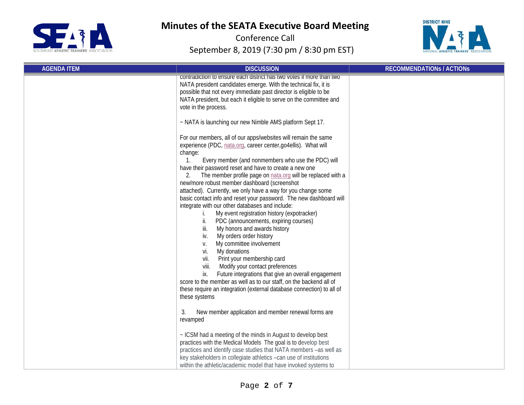



| <b>AGENDA ITEM</b> | <b>DISCUSSION</b>                                                                                                                                                                                                                                                                                                                                                                                                                                                                                                                                                                                                                                                                                                                                                                                                                                                                                                                                                                                              | <b>RECOMMENDATIONS / ACTIONS</b> |
|--------------------|----------------------------------------------------------------------------------------------------------------------------------------------------------------------------------------------------------------------------------------------------------------------------------------------------------------------------------------------------------------------------------------------------------------------------------------------------------------------------------------------------------------------------------------------------------------------------------------------------------------------------------------------------------------------------------------------------------------------------------------------------------------------------------------------------------------------------------------------------------------------------------------------------------------------------------------------------------------------------------------------------------------|----------------------------------|
|                    | contradiction to ensure each district has two votes if more than two<br>NATA president candidates emerge. With the technical fix, it is<br>possible that not every immediate past director is eligible to be<br>NATA president, but each it eligible to serve on the committee and<br>vote in the process.<br>~ NATA is launching our new Nimble AMS platform Sept 17.<br>For our members, all of our apps/websites will remain the same<br>experience (PDC, nata.org, career center, go4ellis). What will<br>change:<br>Every member (and nonmembers who use the PDC) will<br>$\mathbf{1}$ .<br>have their password reset and have to create a new one<br>The member profile page on nata.org will be replaced with a<br>new/more robust member dashboard (screenshot<br>attached). Currently, we only have a way for you change some<br>basic contact info and reset your password. The new dashboard will<br>integrate with our other databases and include:<br>My event registration history (expotracker) |                                  |
|                    | ii.<br>PDC (announcements, expiring courses)<br>iii.<br>My honors and awards history<br>My orders order history<br>iv.<br>My committee involvement<br>V.<br>My donations<br>vi.<br>Print your membership card<br>vii.<br>viii.<br>Modify your contact preferences<br>Future integrations that give an overall engagement<br>İХ.<br>score to the member as well as to our staff, on the backend all of<br>these require an integration (external database connection) to all of<br>these systems                                                                                                                                                                                                                                                                                                                                                                                                                                                                                                                |                                  |
|                    | New member application and member renewal forms are<br>3.<br>revamped<br>~ ICSM had a meeting of the minds in August to develop best<br>practices with the Medical Models The goal is to develop best<br>practices and identify case studies that NATA members -as well as<br>key stakeholders in collegiate athletics -can use of institutions<br>within the athletic/academic model that have invoked systems to                                                                                                                                                                                                                                                                                                                                                                                                                                                                                                                                                                                             |                                  |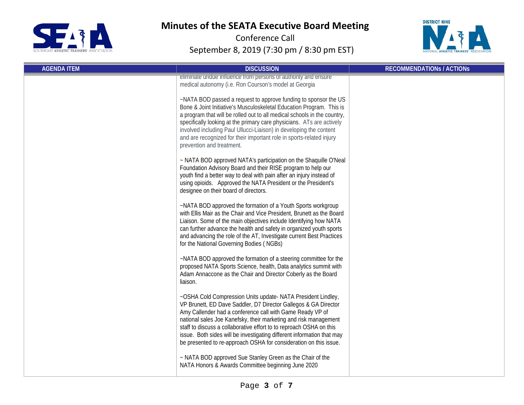



| <b>AGENDA ITEM</b> | <b>DISCUSSION</b>                                                                                                                                                                                                                                                                                                                                                                                                                                                                      | <b>RECOMMENDATIONS / ACTIONS</b> |
|--------------------|----------------------------------------------------------------------------------------------------------------------------------------------------------------------------------------------------------------------------------------------------------------------------------------------------------------------------------------------------------------------------------------------------------------------------------------------------------------------------------------|----------------------------------|
|                    | eliminate undue influence from persons of authority and ensure<br>medical autonomy (i.e. Ron Courson's model at Georgia                                                                                                                                                                                                                                                                                                                                                                |                                  |
|                    | ~NATA BOD passed a request to approve funding to sponsor the US<br>Bone & Joint Initiative's Musculoskeletal Education Program. This is<br>a program that will be rolled out to all medical schools in the country,<br>specifically looking at the primary care physicians. ATs are actively<br>involved including Paul Ullucci-Liaison) in developing the content<br>and are recognized for their important role in sports-related injury<br>prevention and treatment.                |                                  |
|                    | ~ NATA BOD approved NATA's participation on the Shaquille O'Neal<br>Foundation Advisory Board and their RISE program to help our<br>youth find a better way to deal with pain after an injury instead of<br>using opioids. Approved the NATA President or the President's<br>designee on their board of directors.                                                                                                                                                                     |                                  |
|                    | ~NATA BOD approved the formation of a Youth Sports workgroup<br>with Ellis Mair as the Chair and Vice President, Brunett as the Board<br>Liaison. Some of the main objectives include Identifying how NATA<br>can further advance the health and safety in organized youth sports<br>and advancing the role of the AT, Investigate current Best Practices<br>for the National Governing Bodies (NGBs)                                                                                  |                                  |
|                    | ~NATA BOD approved the formation of a steering committee for the<br>proposed NATA Sports Science, health, Data analytics summit with<br>Adam Annaccone as the Chair and Director Coberly as the Board<br>liaison.                                                                                                                                                                                                                                                                      |                                  |
|                    | ~OSHA Cold Compression Units update- NATA President Lindley,<br>VP Brunett, ED Dave Saddler, D7 Director Gallegos & GA Director<br>Amy Callender had a conference call with Game Ready VP of<br>national sales Joe Kanefsky, their marketing and risk management<br>staff to discuss a collaborative effort to to reproach OSHA on this<br>issue. Both sides will be investigating different information that may<br>be presented to re-approach OSHA for consideration on this issue. |                                  |
|                    | ~ NATA BOD approved Sue Stanley Green as the Chair of the<br>NATA Honors & Awards Committee beginning June 2020                                                                                                                                                                                                                                                                                                                                                                        |                                  |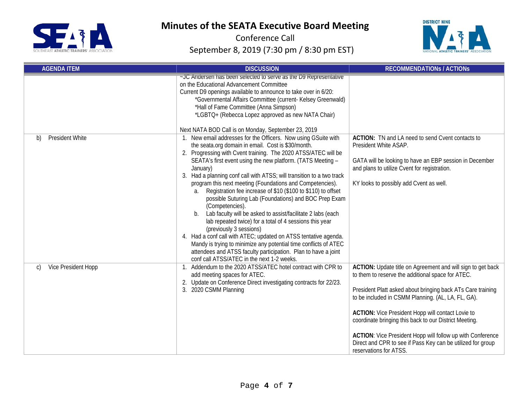



| <b>AGENDA ITEM</b>           | <b>DISCUSSION</b>                                                                                                                                                                                                                                                                                                                                                                                                                                                                                                                                                                                                                                                                                                                                                                                                                                                                                                                                                        | <b>RECOMMENDATIONS / ACTIONS</b>                                                                                                                                                                                                                                                                                                                                                                                                                                                                                   |
|------------------------------|--------------------------------------------------------------------------------------------------------------------------------------------------------------------------------------------------------------------------------------------------------------------------------------------------------------------------------------------------------------------------------------------------------------------------------------------------------------------------------------------------------------------------------------------------------------------------------------------------------------------------------------------------------------------------------------------------------------------------------------------------------------------------------------------------------------------------------------------------------------------------------------------------------------------------------------------------------------------------|--------------------------------------------------------------------------------------------------------------------------------------------------------------------------------------------------------------------------------------------------------------------------------------------------------------------------------------------------------------------------------------------------------------------------------------------------------------------------------------------------------------------|
|                              | ~JC Andersen has been selected to serve as the D9 Representative<br>on the Educational Advancement Committee<br>Current D9 openings available to announce to take over in 6/20:<br>*Governmental Affairs Committee (current- Kelsey Greenwald)<br>*Hall of Fame Committee (Anna Simpson)<br>*LGBTQ+ (Rebecca Lopez approved as new NATA Chair)<br>Next NATA BOD Call is on Monday, September 23, 2019                                                                                                                                                                                                                                                                                                                                                                                                                                                                                                                                                                    |                                                                                                                                                                                                                                                                                                                                                                                                                                                                                                                    |
| <b>President White</b><br>b) | 1. New email addresses for the Officers. Now using GSuite with<br>the seata.org domain in email. Cost is \$30/month.<br>2. Progressing with Cvent training. The 2020 ATSS/ATEC will be<br>SEATA's first event using the new platform. (TATS Meeting -<br>January)<br>3. Had a planning conf call with ATSS; will transition to a two track<br>program this next meeting (Foundations and Competencies).<br>Registration fee increase of \$10 (\$100 to \$110) to offset<br>a.<br>possible Suturing Lab (Foundations) and BOC Prep Exam<br>(Competencies).<br>b. Lab faculty will be asked to assist/facilitate 2 labs (each<br>lab repeated twice) for a total of 4 sessions this year<br>(previously 3 sessions)<br>4. Had a conf call with ATEC; updated on ATSS tentative agenda.<br>Mandy is trying to minimize any potential time conflicts of ATEC<br>attendees and ATSS faculty participation. Plan to have a joint<br>conf call ATSS/ATEC in the next 1-2 weeks. | ACTION: TN and LA need to send Cvent contacts to<br>President White ASAP.<br>GATA will be looking to have an EBP session in December<br>and plans to utilize Cvent for registration.<br>KY looks to possibly add Cvent as well.                                                                                                                                                                                                                                                                                    |
| Vice President Hopp<br>C)    | 1. Addendum to the 2020 ATSS/ATEC hotel contract with CPR to<br>add meeting spaces for ATEC.<br>2. Update on Conference Direct investigating contracts for 22/23.<br>3. 2020 CSMM Planning                                                                                                                                                                                                                                                                                                                                                                                                                                                                                                                                                                                                                                                                                                                                                                               | ACTION: Update title on Agreement and will sign to get back<br>to them to reserve the additional space for ATEC.<br>President Platt asked about bringing back ATs Care training<br>to be included in CSMM Planning. (AL, LA, FL, GA).<br><b>ACTION:</b> Vice President Hopp will contact Lovie to<br>coordinate bringing this back to our District Meeting.<br>ACTION: Vice President Hopp will follow up with Conference<br>Direct and CPR to see if Pass Key can be utilized for group<br>reservations for ATSS. |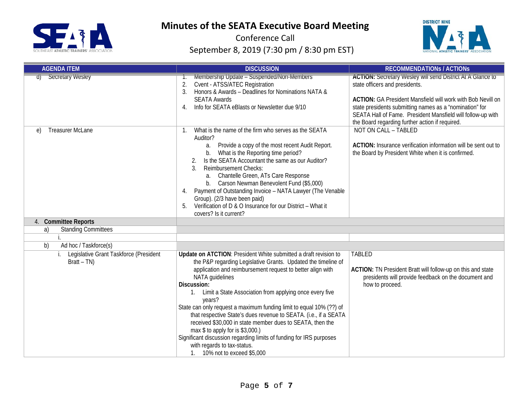



| <b>AGENDA ITEM</b>                                            | <b>DISCUSSION</b>                                                                                                                                                                                                                                                                                                                                                                                                                                                                                                                                                                                                                                                                              | <b>RECOMMENDATIONS / ACTIONS</b>                                                                                                                                                                                                                                                                                                                       |
|---------------------------------------------------------------|------------------------------------------------------------------------------------------------------------------------------------------------------------------------------------------------------------------------------------------------------------------------------------------------------------------------------------------------------------------------------------------------------------------------------------------------------------------------------------------------------------------------------------------------------------------------------------------------------------------------------------------------------------------------------------------------|--------------------------------------------------------------------------------------------------------------------------------------------------------------------------------------------------------------------------------------------------------------------------------------------------------------------------------------------------------|
| <b>Secretary Wesley</b><br>वो                                 | Membership Update - Suspended/Non-Members<br>Cvent - ATSS/ATEC Registration<br>3.<br>Honors & Awards - Deadlines for Nominations NATA &<br><b>SEATA Awards</b><br>Info for SEATA eBlasts or Newsletter due 9/10<br>4.                                                                                                                                                                                                                                                                                                                                                                                                                                                                          | <b>ACTION: Secretary Wesley will send District At A Glance to</b><br>state officers and presidents.<br><b>ACTION: GA President Mansfield will work with Bob Nevill on</b><br>state presidents submitting names as a "nomination" for<br>SEATA Hall of Fame. President Mansfield will follow-up with<br>the Board regarding further action if required. |
| <b>Treasurer McLane</b><br>e)                                 | What is the name of the firm who serves as the SEATA<br>$\mathbf{1}$ .<br>Auditor?<br>Provide a copy of the most recent Audit Report.<br>а.<br>What is the Reporting time period?<br>b.<br>Is the SEATA Accountant the same as our Auditor?<br><b>Reimbursement Checks:</b><br>$\mathcal{R}$<br>Chantelle Green, ATs Care Response<br>a.<br>Carson Newman Benevolent Fund (\$5,000)<br>b.<br>Payment of Outstanding Invoice - NATA Lawyer (The Venable<br>4.<br>Group). (2/3 have been paid)<br>Verification of D & O Insurance for our District - What it<br>5.<br>covers? Is it current?                                                                                                     | NOT ON CALL - TABLED<br>ACTION: Insurance verification information will be sent out to<br>the Board by President White when it is confirmed.                                                                                                                                                                                                           |
| 4. Committee Reports                                          |                                                                                                                                                                                                                                                                                                                                                                                                                                                                                                                                                                                                                                                                                                |                                                                                                                                                                                                                                                                                                                                                        |
| <b>Standing Committees</b><br>a)                              |                                                                                                                                                                                                                                                                                                                                                                                                                                                                                                                                                                                                                                                                                                |                                                                                                                                                                                                                                                                                                                                                        |
|                                                               |                                                                                                                                                                                                                                                                                                                                                                                                                                                                                                                                                                                                                                                                                                |                                                                                                                                                                                                                                                                                                                                                        |
| Ad hoc / Taskforce(s)<br>b)                                   |                                                                                                                                                                                                                                                                                                                                                                                                                                                                                                                                                                                                                                                                                                |                                                                                                                                                                                                                                                                                                                                                        |
| Legislative Grant Taskforce (President<br>İ.<br>$Bratt - TN)$ | Update on ATCTION: President White submitted a draft revision to<br>the P&P regarding Legislative Grants. Updated the timeline of<br>application and reimbursement request to better align with<br>NATA guidelines<br>Discussion:<br>1. Limit a State Association from applying once every five<br>years?<br>State can only request a maximum funding limit to equal 10% (??) of<br>that respective State's dues revenue to SEATA. (i.e., if a SEATA<br>received \$30,000 in state member dues to SEATA, then the<br>max $$$ to apply for is $$3,000$ .)<br>Significant discussion regarding limits of funding for IRS purposes<br>with regards to tax-status.<br>1. 10% not to exceed \$5,000 | <b>TABLED</b><br>ACTION: TN President Bratt will follow-up on this and state<br>presidents will provide feedback on the document and<br>how to proceed.                                                                                                                                                                                                |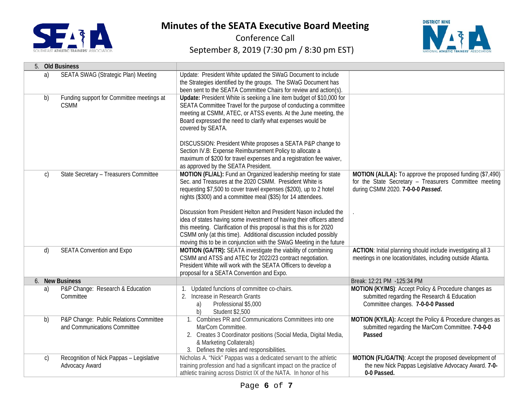



| 5.           | <b>Old Business</b>                                                    |                                                                                                                                                                                                                                                                                                                                                                                                                                                                                                                                                                                                                                     |                                                                                                                                                          |
|--------------|------------------------------------------------------------------------|-------------------------------------------------------------------------------------------------------------------------------------------------------------------------------------------------------------------------------------------------------------------------------------------------------------------------------------------------------------------------------------------------------------------------------------------------------------------------------------------------------------------------------------------------------------------------------------------------------------------------------------|----------------------------------------------------------------------------------------------------------------------------------------------------------|
| a)           | SEATA SWAG (Strategic Plan) Meeting                                    | Update: President White updated the SWaG Document to include<br>the Strategies identified by the groups. The SWaG Document has<br>been sent to the SEATA Committee Chairs for review and action(s).                                                                                                                                                                                                                                                                                                                                                                                                                                 |                                                                                                                                                          |
| b)           | Funding support for Committee meetings at<br><b>CSMM</b>               | Update: President White is seeking a line item budget of \$10,000 for<br>SEATA Committee Travel for the purpose of conducting a committee<br>meeting at CSMM, ATEC, or ATSS events. At the June meeting, the<br>Board expressed the need to clarify what expenses would be<br>covered by SEATA.<br>DISCUSSION: President White proposes a SEATA P&P change to<br>Section IV.B: Expense Reimbursement Policy to allocate a<br>maximum of \$200 for travel expenses and a registration fee waiver,<br>as approved by the SEATA President.                                                                                             |                                                                                                                                                          |
| $\mathsf{C}$ | State Secretary - Treasurers Committee                                 | MOTION (FL/AL): Fund an Organized leadership meeting for state<br>Sec. and Treasures at the 2020 CSMM. President White is<br>requesting \$7,500 to cover travel expenses (\$200), up to 2 hotel<br>nights (\$300) and a committee meal (\$35) for 14 attendees.<br>Discussion from President Helton and President Nason included the<br>idea of states having some investment of having their officers attend<br>this meeting. Clarification of this proposal is that this is for 2020<br>CSMM only (at this time). Additional discussion included possibly<br>moving this to be in conjunction with the SWaG Meeting in the future | MOTION (AL/LA): To approve the proposed funding (\$7,490)<br>for the State Secretary - Treasurers Committee meeting<br>during CSMM 2020. 7-0-0-0 Passed. |
| d)           | <b>SEATA Convention and Expo</b>                                       | MOTION (GA/TR): SEATA investigate the viability of combining<br>CSMM and ATSS and ATEC for 2022/23 contract negotiation.<br>President White will work with the SEATA Officers to develop a<br>proposal for a SEATA Convention and Expo.                                                                                                                                                                                                                                                                                                                                                                                             | ACTION: Initial planning should include investigating all 3<br>meetings in one location/dates, including outside Atlanta.                                |
|              | 6. New Business                                                        |                                                                                                                                                                                                                                                                                                                                                                                                                                                                                                                                                                                                                                     | Break: 12:21 PM -125:34 PM                                                                                                                               |
| a)           | P&P Change: Research & Education<br>Committee                          | 1. Updated functions of committee co-chairs.<br>2. Increase in Research Grants<br>Professional \$5,000<br>a)<br>b)<br><b>Student \$2,500</b>                                                                                                                                                                                                                                                                                                                                                                                                                                                                                        | MOTION (KY/MS): Accept Policy & Procedure changes as<br>submitted regarding the Research & Education<br>Committee changes. 7-0-0-0 Passed                |
| b)           | P&P Change: Public Relations Committee<br>and Communications Committee | 1. Combines PR and Communications Committees into one<br>MarCom Committee.<br>2. Creates 3 Coordinator positions (Social Media, Digital Media,<br>& Marketing Collaterals)<br>3. Defines the roles and responsibilities.                                                                                                                                                                                                                                                                                                                                                                                                            | MOTION (KY/LA): Accept the Policy & Procedure changes as<br>submitted regarding the MarCom Committee. 7-0-0-0<br>Passed                                  |
| $\mathsf{C}$ | Recognition of Nick Pappas - Legislative<br>Advocacy Award             | Nicholas A. "Nick" Pappas was a dedicated servant to the athletic<br>training profession and had a significant impact on the practice of<br>athletic training across District IX of the NATA. In honor of his                                                                                                                                                                                                                                                                                                                                                                                                                       | MOTION (FL/GA/TN): Accept the proposed development of<br>the new Nick Pappas Legislative Advocacy Award. 7-0-<br>0-0 Passed.                             |